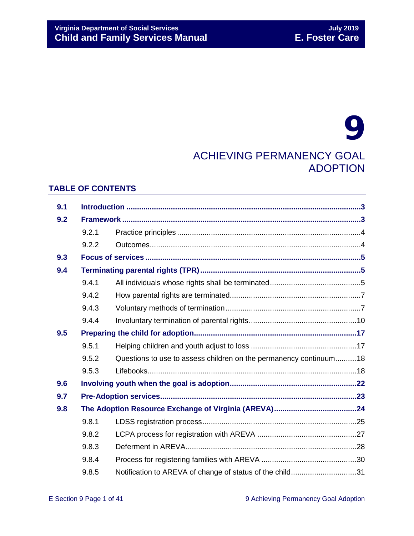# 9 ACHIEVING PERMANENCY GOAL ADOPTION

## **TABLE OF CONTENTS**

| 9.1 |       |                                                                   |  |  |
|-----|-------|-------------------------------------------------------------------|--|--|
| 9.2 |       |                                                                   |  |  |
|     | 9.2.1 |                                                                   |  |  |
|     | 9.2.2 |                                                                   |  |  |
| 9.3 |       |                                                                   |  |  |
| 9.4 |       |                                                                   |  |  |
|     | 9.4.1 |                                                                   |  |  |
|     | 9.4.2 |                                                                   |  |  |
|     | 9.4.3 |                                                                   |  |  |
|     | 9.4.4 |                                                                   |  |  |
| 9.5 |       |                                                                   |  |  |
|     | 9.5.1 |                                                                   |  |  |
|     | 9.5.2 | Questions to use to assess children on the permanency continuum18 |  |  |
|     | 9.5.3 |                                                                   |  |  |
| 9.6 |       |                                                                   |  |  |
| 9.7 |       |                                                                   |  |  |
| 9.8 |       |                                                                   |  |  |
|     | 9.8.1 |                                                                   |  |  |
|     | 9.8.2 |                                                                   |  |  |
|     | 9.8.3 |                                                                   |  |  |
|     | 9.8.4 |                                                                   |  |  |
|     | 9.8.5 | Notification to AREVA of change of status of the child31          |  |  |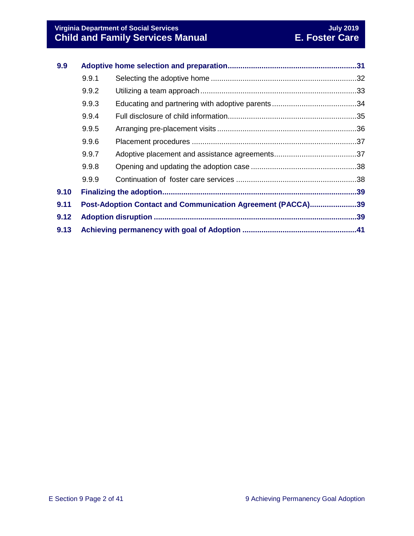| 9.9  |                                                             |  |  |
|------|-------------------------------------------------------------|--|--|
|      | 9.9.1                                                       |  |  |
|      | 9.9.2                                                       |  |  |
|      | 9.9.3                                                       |  |  |
|      | 9.9.4                                                       |  |  |
|      | 9.9.5                                                       |  |  |
|      | 9.9.6                                                       |  |  |
|      | 9.9.7                                                       |  |  |
|      | 9.9.8                                                       |  |  |
|      | 9.9.9                                                       |  |  |
| 9.10 |                                                             |  |  |
| 9.11 | Post-Adoption Contact and Communication Agreement (PACCA)39 |  |  |
| 9.12 |                                                             |  |  |
| 9.13 |                                                             |  |  |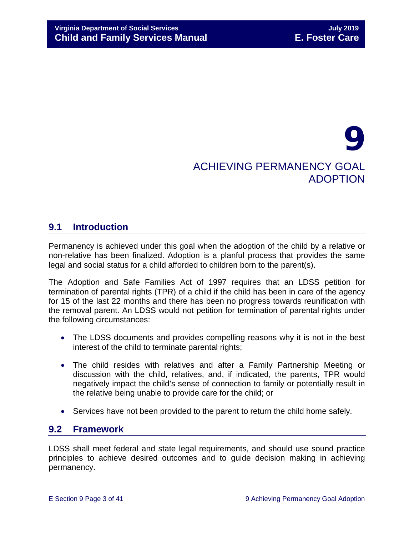# 9 ACHIEVING PERMANENCY GOAL ADOPTION

# <span id="page-2-0"></span>**9.1 Introduction**

Permanency is achieved under this goal when the adoption of the child by a relative or non-relative has been finalized. Adoption is a planful process that provides the same legal and social status for a child afforded to children born to the parent(s).

The Adoption and Safe Families Act of 1997 requires that an LDSS petition for termination of parental rights (TPR) of a child if the child has been in care of the agency for 15 of the last 22 months and there has been no progress towards reunification with the removal parent. An LDSS would not petition for termination of parental rights under the following circumstances:

- The LDSS documents and provides compelling reasons why it is not in the best interest of the child to terminate parental rights;
- The child resides with relatives and after a Family Partnership Meeting or discussion with the child, relatives, and, if indicated, the parents, TPR would negatively impact the child's sense of connection to family or potentially result in the relative being unable to provide care for the child; or
- Services have not been provided to the parent to return the child home safely.

# <span id="page-2-1"></span>**9.2 Framework**

LDSS shall meet federal and state legal requirements, and should use sound practice principles to achieve desired outcomes and to guide decision making in achieving permanency.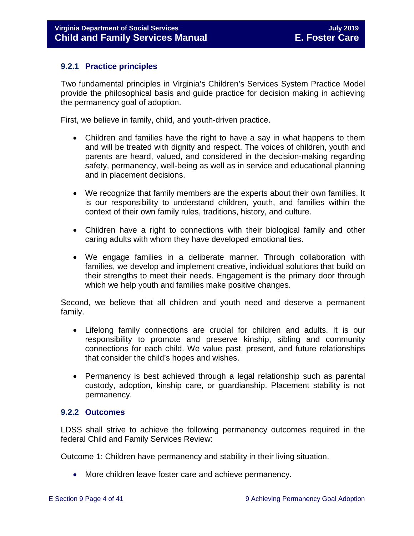#### <span id="page-3-0"></span>**9.2.1 Practice principles**

Two fundamental principles in Virginia's Children's Services System Practice Model provide the philosophical basis and guide practice for decision making in achieving the permanency goal of adoption.

First, we believe in family, child, and youth-driven practice.

- Children and families have the right to have a say in what happens to them and will be treated with dignity and respect. The voices of children, youth and parents are heard, valued, and considered in the decision-making regarding safety, permanency, well-being as well as in service and educational planning and in placement decisions.
- We recognize that family members are the experts about their own families. It is our responsibility to understand children, youth, and families within the context of their own family rules, traditions, history, and culture.
- Children have a right to connections with their biological family and other caring adults with whom they have developed emotional ties.
- We engage families in a deliberate manner. Through collaboration with families, we develop and implement creative, individual solutions that build on their strengths to meet their needs. Engagement is the primary door through which we help youth and families make positive changes.

Second, we believe that all children and youth need and deserve a permanent family.

- Lifelong family connections are crucial for children and adults. It is our responsibility to promote and preserve kinship, sibling and community connections for each child. We value past, present, and future relationships that consider the child's hopes and wishes.
- Permanency is best achieved through a legal relationship such as parental custody, adoption, kinship care, or guardianship. Placement stability is not permanency.

#### <span id="page-3-1"></span>**9.2.2 Outcomes**

LDSS shall strive to achieve the following permanency outcomes required in the federal Child and Family Services Review:

Outcome 1: Children have permanency and stability in their living situation.

• More children leave foster care and achieve permanency.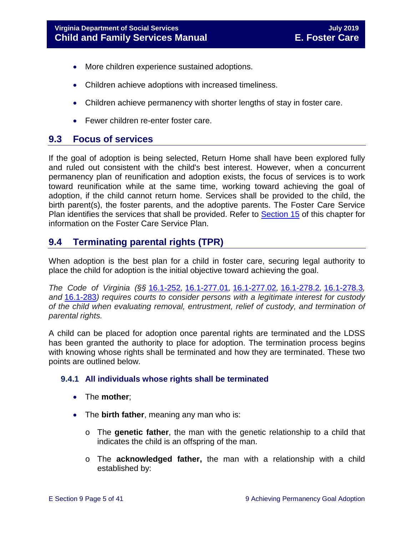- More children experience sustained adoptions.
- Children achieve adoptions with increased timeliness.
- Children achieve permanency with shorter lengths of stay in foster care.
- Fewer children re-enter foster care.

# <span id="page-4-0"></span>**9.3 Focus of services**

If the goal of adoption is being selected, Return Home shall have been explored fully and ruled out consistent with the child's best interest. However, when a concurrent permanency plan of reunification and adoption exists, the focus of services is to work toward reunification while at the same time, working toward achieving the goal of adoption, if the child cannot return home. Services shall be provided to the child, the birth parent(s), the foster parents, and the adoptive parents. The Foster Care Service Plan identifies the services that shall be provided. Refer to [Section 15](https://fusion.dss.virginia.gov/Portals/%5bdfs%5d/Files/DFS%20Manuals/Foster%20Care%20Manuals/Foster%20Care%20Manual%2007-2019/section_15_developing_service_plan.pdf) of this chapter for information on the Foster Care Service Plan.

# <span id="page-4-1"></span>**9.4 Terminating parental rights (TPR)**

When adoption is the best plan for a child in foster care, securing legal authority to place the child for adoption is the initial objective toward achieving the goal.

*The Code of Virginia (§§* [16.1-252](https://law.lis.virginia.gov/vacode/title16.1/chapter11/section16.1-252/)*,* [16.1-277.01](https://law.lis.virginia.gov/vacode/title16.1/chapter11/section16.1-277.01/)*,* [16.1-277.02](https://law.lis.virginia.gov/vacode/title16.1/chapter11/section16.1-277.02/)*,* [16.1-278.2](https://law.lis.virginia.gov/vacode/title16.1/chapter11/section16.1-278.2/)*,* [16.1-278.3](https://law.lis.virginia.gov/vacode/title16.1/chapter11/section16.1-278.3/)*, and* [16.1-283](https://law.lis.virginia.gov/vacode/title16.1/chapter11/section16.1-283/)*) requires courts to consider persons with a legitimate interest for custody of the child when evaluating removal, entrustment, relief of custody, and termination of parental rights.* 

A child can be placed for adoption once parental rights are terminated and the LDSS has been granted the authority to place for adoption. The termination process begins with knowing whose rights shall be terminated and how they are terminated. These two points are outlined below.

#### <span id="page-4-2"></span>**9.4.1 All individuals whose rights shall be terminated**

- The **mother**;
- The **birth father**, meaning any man who is:
	- o The **genetic father**, the man with the genetic relationship to a child that indicates the child is an offspring of the man.
	- o The **acknowledged father,** the man with a relationship with a child established by: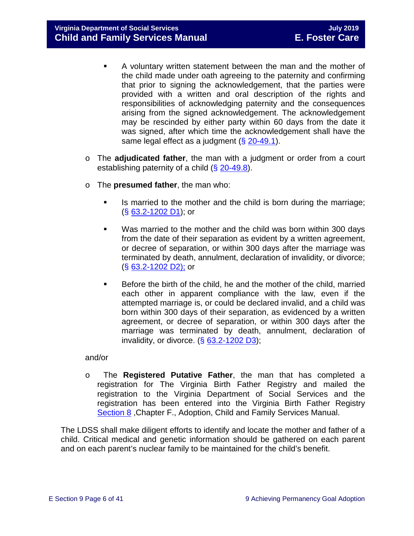**Virginia Department of Social Services July 2019 Child and Family Services Manual** 

- A voluntary written statement between the man and the mother of the child made under oath agreeing to the paternity and confirming that prior to signing the acknowledgement, that the parties were provided with a written and oral description of the rights and responsibilities of acknowledging paternity and the consequences arising from the signed acknowledgement. The acknowledgement may be rescinded by either party within 60 days from the date it was signed, after which time the acknowledgement shall have the same legal effect as a judgment  $( $\S$  20-49.1)$  $( $\S$  20-49.1)$ .
- o The **adjudicated father**, the man with a judgment or order from a court establishing paternity of a child (§ [20-49.8\)](http://law.lis.virginia.gov/vacode/20-49.8/).
- o The **presumed father**, the man who:
	- Is married to the mother and the child is born during the marriage; (§ [63.2-1202 D1\)](http://law.lis.virginia.gov/vacode/63.2-1202/); or
	- Was married to the mother and the child was born within 300 days from the date of their separation as evident by a written agreement, or decree of separation, or within 300 days after the marriage was terminated by death, annulment, declaration of invalidity, or divorce; (§ [63.2-1202 D2\);](http://law.lis.virginia.gov/vacode/63.2-1202/) or
	- **Before the birth of the child, he and the mother of the child, married** each other in apparent compliance with the law, even if the attempted marriage is, or could be declared invalid, and a child was born within 300 days of their separation, as evidenced by a written agreement, or decree of separation, or within 300 days after the marriage was terminated by death, annulment, declaration of invalidity, or divorce.  $( $\S$  63.2-1202 D3)$  $( $\S$  63.2-1202 D3)$ ;

#### and/or

o The **Registered Putative Father**, the man that has completed a registration for The Virginia Birth Father Registry and mailed the registration to the Virginia Department of Social Services and the registration has been entered into the Virginia Birth Father Registry [Section 8](https://fusion.dss.virginia.gov/Portals/%5Bdfs%5D/Files/Adoption/Guidance/2017/section_8_virginia_birth_father_registry.pdf) ,Chapter F., Adoption, Child and Family Services Manual.

The LDSS shall make diligent efforts to identify and locate the mother and father of a child. Critical medical and genetic information should be gathered on each parent and on each parent's nuclear family to be maintained for the child's benefit.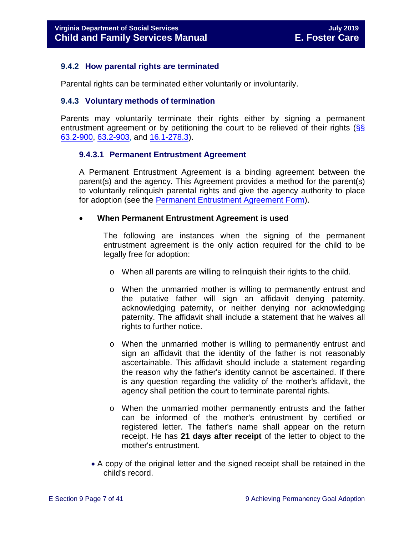#### <span id="page-6-0"></span>**9.4.2 How parental rights are terminated**

Parental rights can be terminated either voluntarily or involuntarily.

#### <span id="page-6-1"></span>**9.4.3 Voluntary methods of termination**

Parents may voluntarily terminate their rights either by signing a permanent entrustment agreement or by petitioning the court to be relieved of their rights  $\sqrt{8}$ [63.2-900,](http://law.lis.virginia.gov/vacode/63.2-900/) [63.2-903,](http://law.lis.virginia.gov/vacode/63.2-903/) and [16.1-278.3\)](http://law.lis.virginia.gov/vacode/16.1-278.3/).

#### **9.4.3.1 Permanent Entrustment Agreement**

A Permanent Entrustment Agreement is a binding agreement between the parent(s) and the agency. This Agreement provides a method for the parent(s) to voluntarily relinquish parental rights and give the agency authority to place for adoption (see the [Permanent Entrustment Agreement Form\)](https://fusion.dss.virginia.gov/Portals/%5Bdfs%5D/Files/DFS%20FORMS/Family%20Services-Generic%20Forms/Entrustment%20Agreement%20for%20Permanent%20Surrender%20of%20a%20Child.pdf).

#### • **When Permanent Entrustment Agreement is used**

The following are instances when the signing of the permanent entrustment agreement is the only action required for the child to be legally free for adoption:

- o When all parents are willing to relinquish their rights to the child.
- o When the unmarried mother is willing to permanently entrust and the putative father will sign an affidavit denying paternity, acknowledging paternity, or neither denying nor acknowledging paternity. The affidavit shall include a statement that he waives all rights to further notice.
- o When the unmarried mother is willing to permanently entrust and sign an affidavit that the identity of the father is not reasonably ascertainable. This affidavit should include a statement regarding the reason why the father's identity cannot be ascertained. If there is any question regarding the validity of the mother's affidavit, the agency shall petition the court to terminate parental rights.
- o When the unmarried mother permanently entrusts and the father can be informed of the mother's entrustment by certified or registered letter. The father's name shall appear on the return receipt. He has **21 days after receipt** of the letter to object to the mother's entrustment.
- A copy of the original letter and the signed receipt shall be retained in the child's record.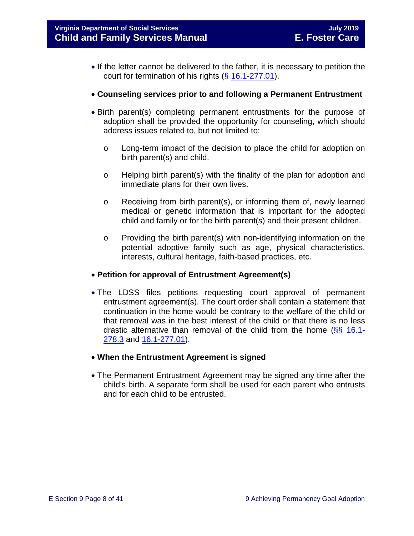- If the letter cannot be delivered to the father, it is necessary to petition the court for termination of his rights (§ [16.1-277.01\)](http://law.lis.virginia.gov/vacode/16.1-277.01/).
- **Counseling services prior to and following a Permanent Entrustment**
- Birth parent(s) completing permanent entrustments for the purpose of adoption shall be provided the opportunity for counseling, which should address issues related to, but not limited to:
	- o Long-term impact of the decision to place the child for adoption on birth parent(s) and child.
	- o Helping birth parent(s) with the finality of the plan for adoption and immediate plans for their own lives.
	- $\circ$  Receiving from birth parent(s), or informing them of, newly learned medical or genetic information that is important for the adopted child and family or for the birth parent(s) and their present children.
	- o Providing the birth parent(s) with non-identifying information on the potential adoptive family such as age, physical characteristics, interests, cultural heritage, faith-based practices, etc.

#### • **Petition for approval of Entrustment Agreement(s)**

- The LDSS files petitions requesting court approval of permanent entrustment agreement(s). The court order shall contain a statement that continuation in the home would be contrary to the welfare of the child or that removal was in the best interest of the child or that there is no less drastic alternative than removal of the child from the home  $(\frac{8}{5})$  [16.1-](http://law.lis.virginia.gov/vacode/16.1-278.3/) [278.3](http://law.lis.virginia.gov/vacode/16.1-278.3/) and [16.1-277.01\)](http://law.lis.virginia.gov/vacode/16.1-277.01/).
- **When the Entrustment Agreement is signed**
- The Permanent Entrustment Agreement may be signed any time after the child's birth. A separate form shall be used for each parent who entrusts and for each child to be entrusted.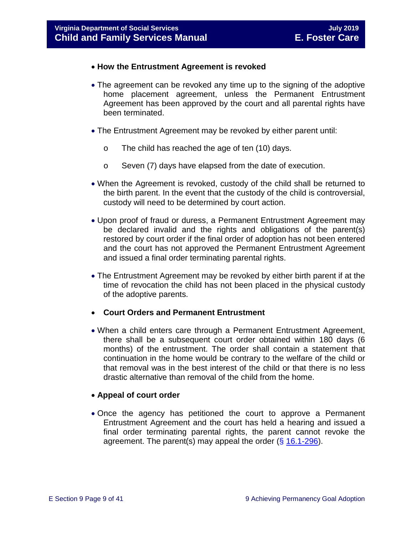- **How the Entrustment Agreement is revoked**
- The agreement can be revoked any time up to the signing of the adoptive home placement agreement, unless the Permanent Entrustment Agreement has been approved by the court and all parental rights have been terminated.
- The Entrustment Agreement may be revoked by either parent until:
	- o The child has reached the age of ten (10) days.
	- o Seven (7) days have elapsed from the date of execution.
- When the Agreement is revoked, custody of the child shall be returned to the birth parent. In the event that the custody of the child is controversial, custody will need to be determined by court action.
- Upon proof of fraud or duress, a Permanent Entrustment Agreement may be declared invalid and the rights and obligations of the parent(s) restored by court order if the final order of adoption has not been entered and the court has not approved the Permanent Entrustment Agreement and issued a final order terminating parental rights.
- The Entrustment Agreement may be revoked by either birth parent if at the time of revocation the child has not been placed in the physical custody of the adoptive parents.
- **Court Orders and Permanent Entrustment**
- When a child enters care through a Permanent Entrustment Agreement, there shall be a subsequent court order obtained within 180 days (6 months) of the entrustment. The order shall contain a statement that continuation in the home would be contrary to the welfare of the child or that removal was in the best interest of the child or that there is no less drastic alternative than removal of the child from the home.

#### • **Appeal of court order**

• Once the agency has petitioned the court to approve a Permanent Entrustment Agreement and the court has held a hearing and issued a final order terminating parental rights, the parent cannot revoke the agreement. The parent(s) may appeal the order  $(\S 16.1-296)$  $(\S 16.1-296)$ .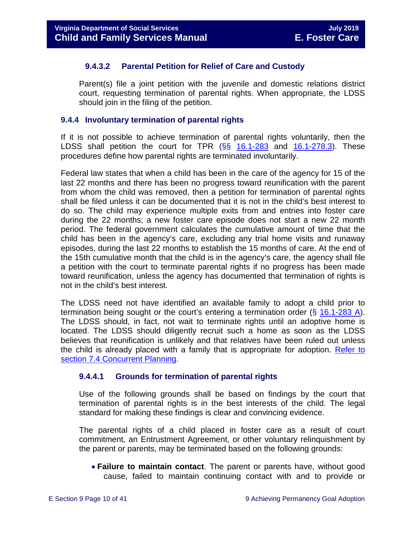#### **9.4.3.2 Parental Petition for Relief of Care and Custody**

Parent(s) file a joint petition with the juvenile and domestic relations district court, requesting termination of parental rights. When appropriate, the LDSS should join in the filing of the petition.

#### <span id="page-9-0"></span>**9.4.4 Involuntary termination of parental rights**

If it is not possible to achieve termination of parental rights voluntarily, then the LDSS shall petition the court for TPR  $(\S_{\S}$  [16.1-283](http://law.lis.virginia.gov/vacode/16.1-283/) and [16.1-278.3\)](http://law.lis.virginia.gov/vacode/16.1-278.3/). These procedures define how parental rights are terminated involuntarily.

Federal law states that when a child has been in the care of the agency for 15 of the last 22 months and there has been no progress toward reunification with the parent from whom the child was removed, then a petition for termination of parental rights shall be filed unless it can be documented that it is not in the child's best interest to do so. The child may experience multiple exits from and entries into foster care during the 22 months; a new foster care episode does not start a new 22 month period. The federal government calculates the cumulative amount of time that the child has been in the agency's care, excluding any trial home visits and runaway episodes, during the last 22 months to establish the 15 months of care. At the end of the 15th cumulative month that the child is in the agency's care, the agency shall file a petition with the court to terminate parental rights if no progress has been made toward reunification, unless the agency has documented that termination of rights is not in the child's best interest.

The LDSS need not have identified an available family to adopt a child prior to termination being sought or the court's entering a termination order (§ [16.1-283 A\)](http://law.lis.virginia.gov/vacode/16.1-283/). The LDSS should, in fact, not wait to terminate rights until an adoptive home is located. The LDSS should diligently recruit such a home as soon as the LDSS believes that reunification is unlikely and that relatives have been ruled out unless the child is already placed with a family that is appropriate for adoption. [Refer to](https://fusion.dss.virginia.gov/Portals/%5bdfs%5d/Files/DFS%20Manuals/Foster%20Care%20Manuals/Foster%20Care%20Manual%2007-2019/section_7_selecting_permanency_goals#page=7)  [section 7.4 Concurrent Planning.](https://fusion.dss.virginia.gov/Portals/%5bdfs%5d/Files/DFS%20Manuals/Foster%20Care%20Manuals/Foster%20Care%20Manual%2007-2019/section_7_selecting_permanency_goals#page=7)

#### **9.4.4.1 Grounds for termination of parental rights**

Use of the following grounds shall be based on findings by the court that termination of parental rights is in the best interests of the child. The legal standard for making these findings is clear and convincing evidence.

The parental rights of a child placed in foster care as a result of court commitment, an Entrustment Agreement, or other voluntary relinquishment by the parent or parents, may be terminated based on the following grounds:

• **Failure to maintain contact**. The parent or parents have, without good cause, failed to maintain continuing contact with and to provide or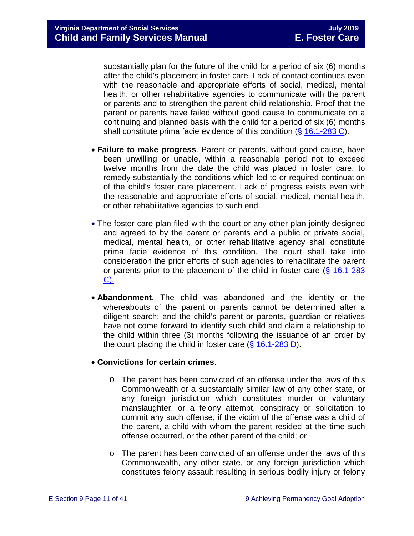substantially plan for the future of the child for a period of six (6) months after the child's placement in foster care. Lack of contact continues even with the reasonable and appropriate efforts of social, medical, mental health, or other rehabilitative agencies to communicate with the parent or parents and to strengthen the parent-child relationship. Proof that the parent or parents have failed without good cause to communicate on a continuing and planned basis with the child for a period of six (6) months shall constitute prima facie evidence of this condition (§ [16.1-283 C\)](http://law.lis.virginia.gov/vacode/16.1-283/).

- **Failure to make progress**. Parent or parents, without good cause, have been unwilling or unable, within a reasonable period not to exceed twelve months from the date the child was placed in foster care, to remedy substantially the conditions which led to or required continuation of the child's foster care placement. Lack of progress exists even with the reasonable and appropriate efforts of social, medical, mental health, or other rehabilitative agencies to such end.
- The foster care plan filed with the court or any other plan jointly designed and agreed to by the parent or parents and a public or private social, medical, mental health, or other rehabilitative agency shall constitute prima facie evidence of this condition. The court shall take into consideration the prior efforts of such agencies to rehabilitate the parent or parents prior to the placement of the child in foster care  $(\S$  16.1-283 [C\).](http://law.lis.virginia.gov/vacode/16.1-283/)
- **Abandonment**. The child was abandoned and the identity or the whereabouts of the parent or parents cannot be determined after a diligent search; and the child's parent or parents, guardian or relatives have not come forward to identify such child and claim a relationship to the child within three (3) months following the issuance of an order by the court placing the child in foster care  $(\S 16.1-283 D)$  $(\S 16.1-283 D)$ .

#### • **Convictions for certain crimes**.

- O The parent has been convicted of an offense under the laws of this Commonwealth or a substantially similar law of any other state, or any foreign jurisdiction which constitutes murder or voluntary manslaughter, or a felony attempt, conspiracy or solicitation to commit any such offense, if the victim of the offense was a child of the parent, a child with whom the parent resided at the time such offense occurred, or the other parent of the child; or
- $\circ$  The parent has been convicted of an offense under the laws of this Commonwealth, any other state, or any foreign jurisdiction which constitutes felony assault resulting in serious bodily injury or felony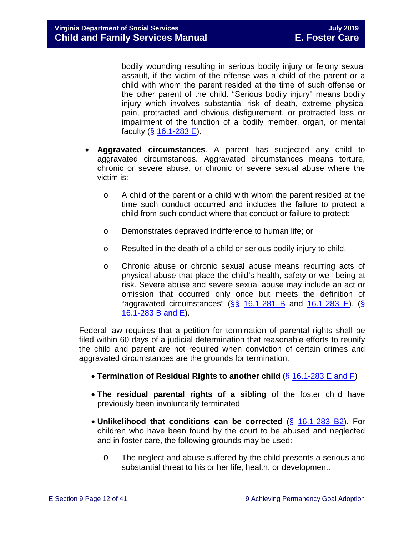bodily wounding resulting in serious bodily injury or felony sexual assault, if the victim of the offense was a child of the parent or a child with whom the parent resided at the time of such offense or the other parent of the child. "Serious bodily injury" means bodily injury which involves substantial risk of death, extreme physical pain, protracted and obvious disfigurement, or protracted loss or impairment of the function of a bodily member, organ, or mental faculty (§ [16.1-283 E\)](http://law.lis.virginia.gov/vacode/16.1-283/).

- **Aggravated circumstances**. A parent has subjected any child to aggravated circumstances. Aggravated circumstances means torture, chronic or severe abuse, or chronic or severe sexual abuse where the victim is:
	- o A child of the parent or a child with whom the parent resided at the time such conduct occurred and includes the failure to protect a child from such conduct where that conduct or failure to protect;
	- o Demonstrates depraved indifference to human life; or
	- o Resulted in the death of a child or serious bodily injury to child.
	- o Chronic abuse or chronic sexual abuse means recurring acts of physical abuse that place the child's health, safety or well-being at risk. Severe abuse and severe sexual abuse may include an act or omission that occurred only once but meets the definition of "aggravated circumstances"  $(SS<sub>16.1-281 B<sub>1</sub></sub>$  $(SS<sub>16.1-281 B<sub>1</sub></sub>$  $(SS<sub>16.1-281 B<sub>1</sub></sub>$  and  $16.1-283 E$ ). (S [16.1-283](http://law.lis.virginia.gov/vacode/16.1-283/) B and E).

Federal law requires that a petition for termination of parental rights shall be filed within 60 days of a judicial determination that reasonable efforts to reunify the child and parent are not required when conviction of certain crimes and aggravated circumstances are the grounds for termination.

- **Termination of Residual Rights to another child** (§ [16.1-283 E and F\)](http://law.lis.virginia.gov/vacode/16.1-283/)
- **The residual parental rights of a sibling** of the foster child have previously been involuntarily terminated
- **Unlikelihood that conditions can be corrected** (§ [16.1-283 B2\)](http://law.lis.virginia.gov/vacode/16.1-283/). For children who have been found by the court to be abused and neglected and in foster care, the following grounds may be used:
	- O The neglect and abuse suffered by the child presents a serious and substantial threat to his or her life, health, or development.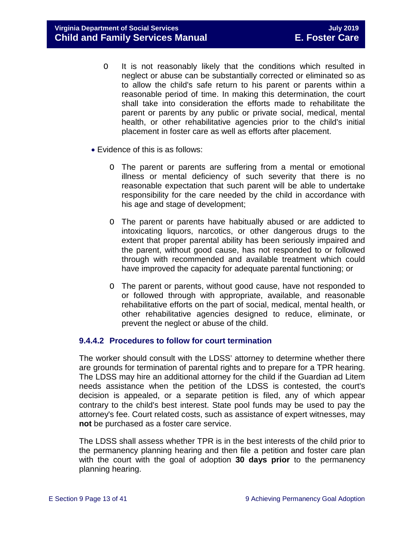**Virginia Department of Social Services July 2019 Child and Family Services Manual** 

- O It is not reasonably likely that the conditions which resulted in neglect or abuse can be substantially corrected or eliminated so as to allow the child's safe return to his parent or parents within a reasonable period of time. In making this determination, the court shall take into consideration the efforts made to rehabilitate the parent or parents by any public or private social, medical, mental health, or other rehabilitative agencies prior to the child's initial placement in foster care as well as efforts after placement.
- Evidence of this is as follows:
	- O The parent or parents are suffering from a mental or emotional illness or mental deficiency of such severity that there is no reasonable expectation that such parent will be able to undertake responsibility for the care needed by the child in accordance with his age and stage of development;
	- O The parent or parents have habitually abused or are addicted to intoxicating liquors, narcotics, or other dangerous drugs to the extent that proper parental ability has been seriously impaired and the parent, without good cause, has not responded to or followed through with recommended and available treatment which could have improved the capacity for adequate parental functioning; or
	- O The parent or parents, without good cause, have not responded to or followed through with appropriate, available, and reasonable rehabilitative efforts on the part of social, medical, mental health, or other rehabilitative agencies designed to reduce, eliminate, or prevent the neglect or abuse of the child.

#### **9.4.4.2 Procedures to follow for court termination**

The worker should consult with the LDSS' attorney to determine whether there are grounds for termination of parental rights and to prepare for a TPR hearing. The LDSS may hire an additional attorney for the child if the Guardian ad Litem needs assistance when the petition of the LDSS is contested, the court's decision is appealed, or a separate petition is filed, any of which appear contrary to the child's best interest. State pool funds may be used to pay the attorney's fee. Court related costs, such as assistance of expert witnesses, may **not** be purchased as a foster care service.

The LDSS shall assess whether TPR is in the best interests of the child prior to the permanency planning hearing and then file a petition and foster care plan with the court with the goal of adoption **30 days prior** to the permanency planning hearing.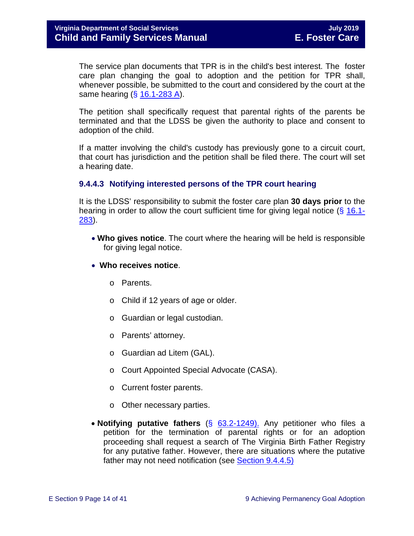The service plan documents that TPR is in the child's best interest. The foster care plan changing the goal to adoption and the petition for TPR shall, whenever possible, be submitted to the court and considered by the court at the same hearing  $(\S 16.1 - 283 A)$ .

The petition shall specifically request that parental rights of the parents be terminated and that the LDSS be given the authority to place and consent to adoption of the child.

If a matter involving the child's custody has previously gone to a circuit court, that court has jurisdiction and the petition shall be filed there. The court will set a hearing date.

#### **9.4.4.3 Notifying interested persons of the TPR court hearing**

It is the LDSS' responsibility to submit the foster care plan **30 days prior** to the hearing in order to allow the court sufficient time for giving legal notice (§ [16.1-](http://law.lis.virginia.gov/vacode/16.1-283/) [283\)](http://law.lis.virginia.gov/vacode/16.1-283/).

- **Who gives notice**. The court where the hearing will be held is responsible for giving legal notice.
- **Who receives notice**.
	- o Parents.
	- o Child if 12 years of age or older.
	- o Guardian or legal custodian.
	- o Parents' attorney.
	- o Guardian ad Litem (GAL).
	- o Court Appointed Special Advocate (CASA).
	- o Current foster parents.
	- o Other necessary parties.
- **Notifying putative fathers** (§ [63.2-1249\).](http://law.lis.virginia.gov/vacode/63.2-1249/) Any petitioner who files a petition for the termination of parental rights or for an adoption proceeding shall request a search of The Virginia Birth Father Registry for any putative father. However, there are situations where the putative father may not need notification (see [Section](#page-14-0) 9.4.4.5)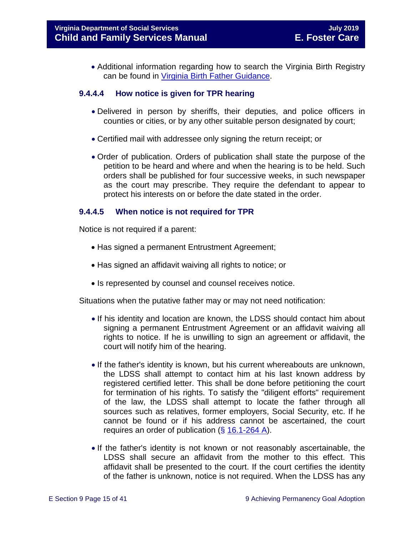• Additional information regarding how to search the Virginia Birth Registry can be found in Virginia Birth [Father Guidance.](http://www.dss.virginia.gov/family/ap/vbfr.cgi)

#### **9.4.4.4 How notice is given for TPR hearing**

- Delivered in person by sheriffs, their deputies, and police officers in counties or cities, or by any other suitable person designated by court;
- Certified mail with addressee only signing the return receipt; or
- Order of publication. Orders of publication shall state the purpose of the petition to be heard and where and when the hearing is to be held. Such orders shall be published for four successive weeks, in such newspaper as the court may prescribe. They require the defendant to appear to protect his interests on or before the date stated in the order.

#### <span id="page-14-0"></span>**9.4.4.5 When notice is not required for TPR**

Notice is not required if a parent:

- Has signed a permanent Entrustment Agreement;
- Has signed an affidavit waiving all rights to notice; or
- Is represented by counsel and counsel receives notice.

Situations when the putative father may or may not need notification:

- If his identity and location are known, the LDSS should contact him about signing a permanent Entrustment Agreement or an affidavit waiving all rights to notice. If he is unwilling to sign an agreement or affidavit, the court will notify him of the hearing.
- If the father's identity is known, but his current whereabouts are unknown, the LDSS shall attempt to contact him at his last known address by registered certified letter. This shall be done before petitioning the court for termination of his rights. To satisfy the "diligent efforts" requirement of the law, the LDSS shall attempt to locate the father through all sources such as relatives, former employers, Social Security, etc. If he cannot be found or if his address cannot be ascertained, the court requires an order of publication (§ [16.1-264 A\)](http://law.lis.virginia.gov/vacode/16.1-264/).
- If the father's identity is not known or not reasonably ascertainable, the LDSS shall secure an affidavit from the mother to this effect. This affidavit shall be presented to the court. If the court certifies the identity of the father is unknown, notice is not required. When the LDSS has any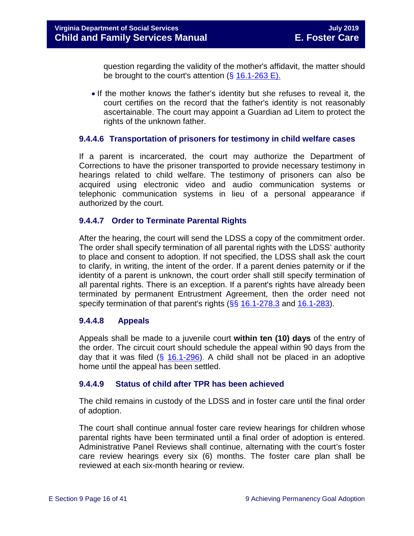question regarding the validity of the mother's affidavit, the matter should be brought to the court's attention  $(\S 16.1-263 \E)$ .

• If the mother knows the father's identity but she refuses to reveal it, the court certifies on the record that the father's identity is not reasonably ascertainable. The court may appoint a Guardian ad Litem to protect the rights of the unknown father.

#### **9.4.4.6 Transportation of prisoners for testimony in child welfare cases**

If a parent is incarcerated, the court may authorize the Department of Corrections to have the prisoner transported to provide necessary testimony in hearings related to child welfare. The testimony of prisoners can also be acquired using electronic video and audio communication systems or telephonic communication systems in lieu of a personal appearance if authorized by the court.

#### **9.4.4.7 Order to Terminate Parental Rights**

After the hearing, the court will send the LDSS a copy of the commitment order. The order shall specify termination of all parental rights with the LDSS' authority to place and consent to adoption. If not specified, the LDSS shall ask the court to clarify, in writing, the intent of the order. If a parent denies paternity or if the identity of a parent is unknown, the court order shall still specify termination of all parental rights. There is an exception. If a parent's rights have already been terminated by permanent Entrustment Agreement, then the order need not specify termination of that parent's rights (§§ [16.1-278.3](http://law.lis.virginia.gov/vacode/16.1-278.3/) and [16.1-283\)](http://law.lis.virginia.gov/vacode/16.1-283/).

#### **9.4.4.8 Appeals**

Appeals shall be made to a juvenile court **within ten (10) days** of the entry of the order. The circuit court should schedule the appeal within 90 days from the day that it was filed  $(\frac{25}{16.1-296})$ . A child shall not be placed in an adoptive home until the appeal has been settled.

#### **9.4.4.9 Status of child after TPR has been achieved**

The child remains in custody of the LDSS and in foster care until the final order of adoption.

The court shall continue annual foster care review hearings for children whose parental rights have been terminated until a final order of adoption is entered. Administrative Panel Reviews shall continue, alternating with the court's foster care review hearings every six (6) months. The foster care plan shall be reviewed at each six-month hearing or review.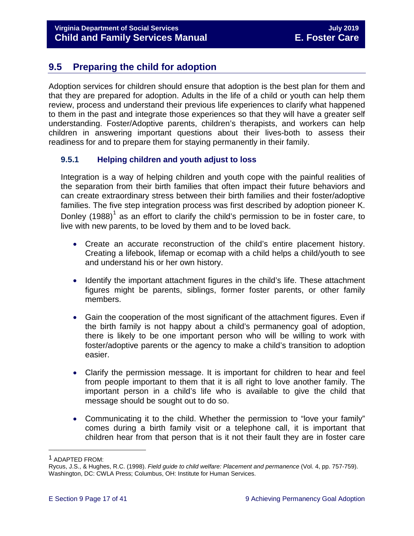# <span id="page-16-0"></span>**9.5 Preparing the child for adoption**

Adoption services for children should ensure that adoption is the best plan for them and that they are prepared for adoption. Adults in the life of a child or youth can help them review, process and understand their previous life experiences to clarify what happened to them in the past and integrate those experiences so that they will have a greater self understanding. Foster/Adoptive parents, children's therapists, and workers can help children in answering important questions about their lives-both to assess their readiness for and to prepare them for staying permanently in their family.

### <span id="page-16-1"></span>**9.5.1 Helping children and youth adjust to loss**

Integration is a way of helping children and youth cope with the painful realities of the separation from their birth families that often impact their future behaviors and can create extraordinary stress between their birth families and their foster/adoptive families. The five step integration process was first described by adoption pioneer K. Donley  $(1988)^1$  $(1988)^1$  $(1988)^1$  as an effort to clarify the child's permission to be in foster care, to live with new parents, to be loved by them and to be loved back.

- Create an accurate reconstruction of the child's entire placement history. Creating a lifebook, lifemap or ecomap with a child helps a child/youth to see and understand his or her own history.
- Identify the important attachment figures in the child's life. These attachment figures might be parents, siblings, former foster parents, or other family members.
- Gain the cooperation of the most significant of the attachment figures. Even if the birth family is not happy about a child's permanency goal of adoption, there is likely to be one important person who will be willing to work with foster/adoptive parents or the agency to make a child's transition to adoption easier.
- Clarify the permission message. It is important for children to hear and feel from people important to them that it is all right to love another family. The important person in a child's life who is available to give the child that message should be sought out to do so.
- Communicating it to the child. Whether the permission to "love your family" comes during a birth family visit or a telephone call, it is important that children hear from that person that is it not their fault they are in foster care

Ĩ.

<span id="page-16-2"></span><sup>1</sup> ADAPTED FROM:

Rycus, J.S., & Hughes, R.C. (1998). *Field guide to child welfare: Placement and permanence* (Vol. 4, pp. 757-759). Washington, DC: CWLA Press; Columbus, OH: Institute for Human Services.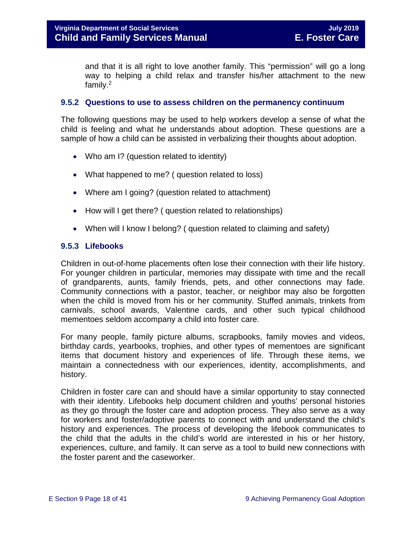and that it is all right to love another family. This "permission" will go a long way to helping a child relax and transfer his/her attachment to the new family.2

#### <span id="page-17-0"></span>**9.5.2 Questions to use to assess children on the permanency continuum**

The following questions may be used to help workers develop a sense of what the child is feeling and what he understands about adoption. These questions are a sample of how a child can be assisted in verbalizing their thoughts about adoption.

- Who am I? (question related to identity)
- What happened to me? ( question related to loss)
- Where am I going? (question related to attachment)
- How will I get there? ( question related to relationships)
- When will I know I belong? (question related to claiming and safety)

#### <span id="page-17-1"></span>**9.5.3 Lifebooks**

Children in out-of-home placements often lose their connection with their life history. For younger children in particular, memories may dissipate with time and the recall of grandparents, aunts, family friends, pets, and other connections may fade. Community connections with a pastor, teacher, or neighbor may also be forgotten when the child is moved from his or her community. Stuffed animals, trinkets from carnivals, school awards, Valentine cards, and other such typical childhood mementoes seldom accompany a child into foster care.

For many people, family picture albums, scrapbooks, family movies and videos, birthday cards, yearbooks, trophies, and other types of mementoes are significant items that document history and experiences of life. Through these items, we maintain a connectedness with our experiences, identity, accomplishments, and history.

Children in foster care can and should have a similar opportunity to stay connected with their identity. Lifebooks help document children and youths' personal histories as they go through the foster care and adoption process. They also serve as a way for workers and foster/adoptive parents to connect with and understand the child's history and experiences. The process of developing the lifebook communicates to the child that the adults in the child's world are interested in his or her history, experiences, culture, and family. It can serve as a tool to build new connections with the foster parent and the caseworker.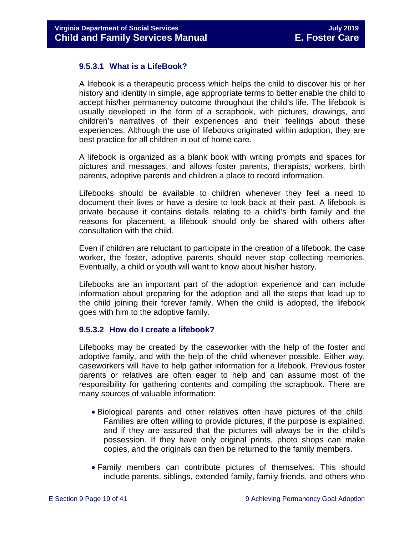#### **9.5.3.1 What is a LifeBook?**

A lifebook is a therapeutic process which helps the child to discover his or her history and identity in simple, age appropriate terms to better enable the child to accept his/her permanency outcome throughout the child's life. The lifebook is usually developed in the form of a scrapbook, with pictures, drawings, and children's narratives of their experiences and their feelings about these experiences. Although the use of lifebooks originated within adoption, they are best practice for all children in out of home care.

A lifebook is organized as a blank book with writing prompts and spaces for pictures and messages, and allows foster parents, therapists, workers, birth parents, adoptive parents and children a place to record information.

Lifebooks should be available to children whenever they feel a need to document their lives or have a desire to look back at their past. A lifebook is private because it contains details relating to a child's birth family and the reasons for placement, a lifebook should only be shared with others after consultation with the child.

Even if children are reluctant to participate in the creation of a lifebook, the case worker, the foster, adoptive parents should never stop collecting memories. Eventually, a child or youth will want to know about his/her history.

Lifebooks are an important part of the adoption experience and can include information about preparing for the adoption and all the steps that lead up to the child joining their forever family. When the child is adopted, the lifebook goes with him to the adoptive family.

#### **9.5.3.2 How do I create a lifebook?**

Lifebooks may be created by the caseworker with the help of the foster and adoptive family, and with the help of the child whenever possible. Either way, caseworkers will have to help gather information for a lifebook. Previous foster parents or relatives are often eager to help and can assume most of the responsibility for gathering contents and compiling the scrapbook. There are many sources of valuable information:

- Biological parents and other relatives often have pictures of the child. Families are often willing to provide pictures, if the purpose is explained, and if they are assured that the pictures will always be in the child's possession. If they have only original prints, photo shops can make copies, and the originals can then be returned to the family members.
- Family members can contribute pictures of themselves. This should include parents, siblings, extended family, family friends, and others who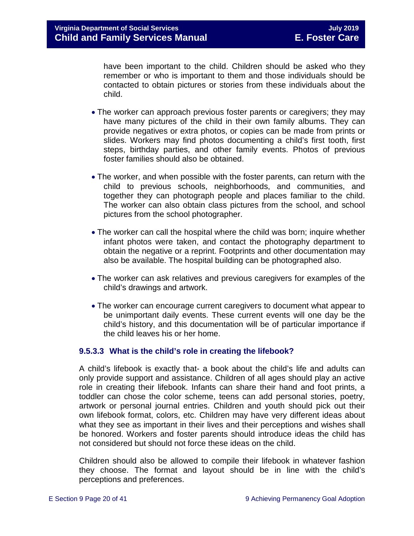have been important to the child. Children should be asked who they remember or who is important to them and those individuals should be contacted to obtain pictures or stories from these individuals about the child.

- The worker can approach previous foster parents or caregivers; they may have many pictures of the child in their own family albums. They can provide negatives or extra photos, or copies can be made from prints or slides. Workers may find photos documenting a child's first tooth, first steps, birthday parties, and other family events. Photos of previous foster families should also be obtained.
- The worker, and when possible with the foster parents, can return with the child to previous schools, neighborhoods, and communities, and together they can photograph people and places familiar to the child. The worker can also obtain class pictures from the school, and school pictures from the school photographer.
- The worker can call the hospital where the child was born; inquire whether infant photos were taken, and contact the photography department to obtain the negative or a reprint. Footprints and other documentation may also be available. The hospital building can be photographed also.
- The worker can ask relatives and previous caregivers for examples of the child's drawings and artwork.
- The worker can encourage current caregivers to document what appear to be unimportant daily events. These current events will one day be the child's history, and this documentation will be of particular importance if the child leaves his or her home.

#### **9.5.3.3 What is the child's role in creating the lifebook?**

A child's lifebook is exactly that- a book about the child's life and adults can only provide support and assistance. Children of all ages should play an active role in creating their lifebook. Infants can share their hand and foot prints, a toddler can chose the color scheme, teens can add personal stories, poetry, artwork or personal journal entries. Children and youth should pick out their own lifebook format, colors, etc. Children may have very different ideas about what they see as important in their lives and their perceptions and wishes shall be honored. Workers and foster parents should introduce ideas the child has not considered but should not force these ideas on the child.

Children should also be allowed to compile their lifebook in whatever fashion they choose. The format and layout should be in line with the child's perceptions and preferences.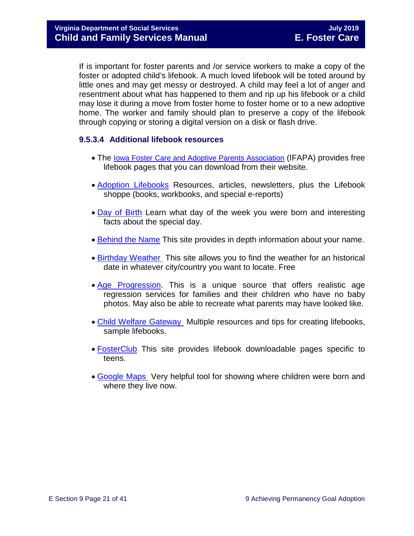If is important for foster parents and /or service workers to make a copy of the foster or adopted child's lifebook. A much loved lifebook will be toted around by little ones and may get messy or destroyed. A child may feel a lot of anger and resentment about what has happened to them and rip up his lifebook or a child may lose it during a move from foster home to foster home or to a new adoptive home. The worker and family should plan to preserve a copy of the lifebook through copying or storing a digital version on a disk or flash drive.

### **9.5.3.4 Additional lifebook resources**

- The [Iowa Foster Care and Adoptive Parents Association](http://www.ifapa.org/publications/IFAPA_Lifebook_Pages.asp) (IFAPA) provides free lifebook pages that you can download from their website.
- [Adoption Lifebooks](http://adoptionlifebooks.com/) Resources, articles, newsletters, plus the Lifebook shoppe (books, workbooks, and special e-reports)
- [Day of Birth](http://www.dayofbirth.co.uk/) Learn what day of the week you were born and interesting facts about the special day.
- [Behind the Name](http://www.behindthename.com/) This site provides in depth information about your name.
- [Birthday Weather](http://www.wunderground.com/) This site allows you to find the weather for an historical date in whatever city/country you want to locate. Free
- [Age Progression.](http://www.phojoe.com/forensic_compositing.html) This is a unique source that offers realistic age regression services for families and their children who have no baby photos. May also be able to recreate what parents may have looked like.
- [Child Welfare Gateway](https://www.childwelfare.gov/topics/adoption/adopt-parenting/lifebooks/) Multiple resources and tips for creating lifebooks, sample lifebooks.
- [FosterClub](http://www.fosterclub.com/) This site provides lifebook downloadable pages specific to teens.
- [Google Maps](http://maps.google.com/) Very helpful tool for showing where children were born and where they live now.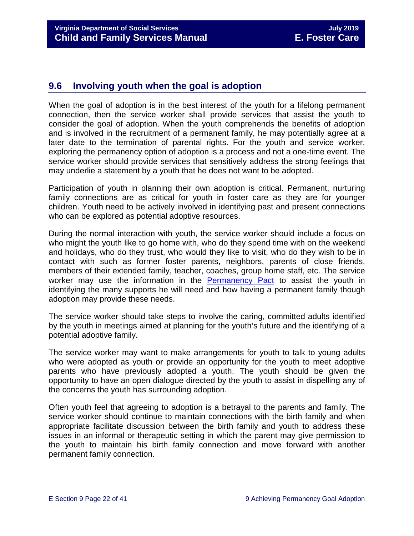# <span id="page-21-0"></span>**9.6 Involving youth when the goal is adoption**

When the goal of adoption is in the best interest of the youth for a lifelong permanent connection, then the service worker shall provide services that assist the youth to consider the goal of adoption. When the youth comprehends the benefits of adoption and is involved in the recruitment of a permanent family, he may potentially agree at a later date to the termination of parental rights. For the youth and service worker, exploring the permanency option of adoption is a process and not a one-time event. The service worker should provide services that sensitively address the strong feelings that may underlie a statement by a youth that he does not want to be adopted.

Participation of youth in planning their own adoption is critical. Permanent, nurturing family connections are as critical for youth in foster care as they are for younger children. Youth need to be actively involved in identifying past and present connections who can be explored as potential adoptive resources.

During the normal interaction with youth, the service worker should include a focus on who might the youth like to go home with, who do they spend time with on the weekend and holidays, who do they trust, who would they like to visit, who do they wish to be in contact with such as former foster parents, neighbors, parents of close friends, members of their extended family, teacher, coaches, group home staff, etc. The service worker may use the information in the [Permanency Pact](https://www.fosterclub.com/sites/default/files/Permanency%20Pact_0.pdf) to assist the youth in identifying the many supports he will need and how having a permanent family though adoption may provide these needs.

The service worker should take steps to involve the caring, committed adults identified by the youth in meetings aimed at planning for the youth's future and the identifying of a potential adoptive family.

The service worker may want to make arrangements for youth to talk to young adults who were adopted as youth or provide an opportunity for the youth to meet adoptive parents who have previously adopted a youth. The youth should be given the opportunity to have an open dialogue directed by the youth to assist in dispelling any of the concerns the youth has surrounding adoption.

Often youth feel that agreeing to adoption is a betrayal to the parents and family. The service worker should continue to maintain connections with the birth family and when appropriate facilitate discussion between the birth family and youth to address these issues in an informal or therapeutic setting in which the parent may give permission to the youth to maintain his birth family connection and move forward with another permanent family connection.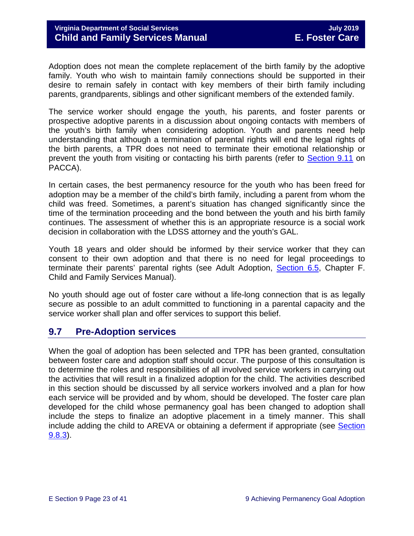Adoption does not mean the complete replacement of the birth family by the adoptive family. Youth who wish to maintain family connections should be supported in their desire to remain safely in contact with key members of their birth family including parents, grandparents, siblings and other significant members of the extended family.

The service worker should engage the youth, his parents, and foster parents or prospective adoptive parents in a discussion about ongoing contacts with members of the youth's birth family when considering adoption. Youth and parents need help understanding that although a termination of parental rights will end the legal rights of the birth parents, a TPR does not need to terminate their emotional relationship or prevent the youth from visiting or contacting his birth parents (refer to [Section 9.11](#page-38-1) on PACCA).

In certain cases, the best permanency resource for the youth who has been freed for adoption may be a member of the child's birth family, including a parent from whom the child was freed. Sometimes, a parent's situation has changed significantly since the time of the termination proceeding and the bond between the youth and his birth family continues. The assessment of whether this is an appropriate resource is a social work decision in collaboration with the LDSS attorney and the youth's GAL.

Youth 18 years and older should be informed by their service worker that they can consent to their own adoption and that there is no need for legal proceedings to terminate their parents' parental rights (see Adult Adoption, [Section 6.5,](https://fusion.dss.virginia.gov/Portals/%5Bdfs%5D/Files/Adoption/Guidance/2019/July/section_6_non_agency_placement_adoptions-July%202019.pdf#page=53) Chapter F. Child and Family Services Manual).

No youth should age out of foster care without a life-long connection that is as legally secure as possible to an adult committed to functioning in a parental capacity and the service worker shall plan and offer services to support this belief.

# <span id="page-22-0"></span>**9.7 Pre-Adoption services**

When the goal of adoption has been selected and TPR has been granted, consultation between foster care and adoption staff should occur. The purpose of this consultation is to determine the roles and responsibilities of all involved service workers in carrying out the activities that will result in a finalized adoption for the child. The activities described in this section should be discussed by all service workers involved and a plan for how each service will be provided and by whom, should be developed. The foster care plan developed for the child whose permanency goal has been changed to adoption shall include the steps to finalize an adoptive placement in a timely manner. This shall include adding the child to AREVA or obtaining a deferment if appropriate (see Section [9.8.3\)](#page-27-0).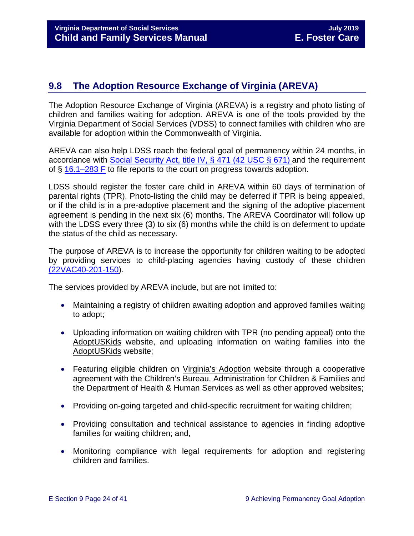# <span id="page-23-0"></span>**9.8 The Adoption Resource Exchange of Virginia (AREVA)**

The Adoption Resource Exchange of Virginia (AREVA) is a registry and photo listing of children and families waiting for adoption. AREVA is one of the tools provided by the Virginia Department of Social Services (VDSS) to connect families with children who are available for adoption within the Commonwealth of Virginia.

AREVA can also help LDSS reach the federal goal of permanency within 24 months, in accordance with [Social Security Act, title IV,](https://www.ssa.gov/OP_Home/ssact/title04/0471.htm) § 471 (42 USC § 671) and the requirement of § [16.1–283 F](http://law.lis.virginia.gov/vacode/16.1-283/) to file reports to the court on progress towards adoption.

LDSS should register the foster care child in AREVA within 60 days of termination of parental rights (TPR). Photo-listing the child may be deferred if TPR is being appealed, or if the child is in a pre-adoptive placement and the signing of the adoptive placement agreement is pending in the next six (6) months. The AREVA Coordinator will follow up with the LDSS every three (3) to six (6) months while the child is on deferment to update the status of the child as necessary.

The purpose of AREVA is to increase the opportunity for children waiting to be adopted by providing services to child-placing agencies having custody of these children [\(22VAC40-201-150\)](http://law.lis.virginia.gov/admincode/title22/agency40/chapter201/section150).

The services provided by AREVA include, but are not limited to:

- Maintaining a registry of children awaiting adoption and approved families waiting to adopt;
- Uploading information on waiting children with TPR (no pending appeal) onto the [AdoptUSKids](http://www.adoptuskids.org/) website, and uploading information on waiting families into the [AdoptUSKids](http://www.adoptuskids.org/) website;
- Featuring eligible children on [Virginia's Adoption](http://www.adoptuskids.org/states/va/index.aspx) website through a cooperative agreement with the Children's Bureau, Administration for Children & Families and the Department of Health & Human Services as well as other approved websites;
- Providing on-going targeted and child-specific recruitment for waiting children;
- Providing consultation and technical assistance to agencies in finding adoptive families for waiting children; and,
- Monitoring compliance with legal requirements for adoption and registering children and families.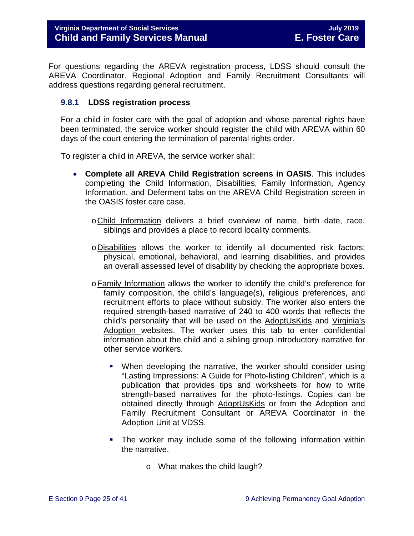For questions regarding the AREVA registration process, LDSS should consult the AREVA Coordinator. Regional Adoption and Family Recruitment Consultants will address questions regarding general recruitment.

#### <span id="page-24-0"></span>**9.8.1 LDSS registration process**

For a child in foster care with the goal of adoption and whose parental rights have been terminated, the service worker should register the child with AREVA within 60 days of the court entering the termination of parental rights order.

To register a child in AREVA, the service worker shall:

- **Complete all AREVA Child Registration screens in OASIS**. This includes completing the Child Information, Disabilities, Family Information, Agency Information, and Deferment tabs on the AREVA Child Registration screen in the OASIS foster care case.
	- oChild Information delivers a brief overview of name, birth date, race, siblings and provides a place to record locality comments.
	- oDisabilities allows the worker to identify all documented risk factors; physical, emotional, behavioral, and learning disabilities, and provides an overall assessed level of disability by checking the appropriate boxes.
	- oFamily Information allows the worker to identify the child's preference for family composition, the child's language(s), religious preferences, and recruitment efforts to place without subsidy. The worker also enters the required strength-based narrative of 240 to 400 words that reflects the child's personality that will be used on the [AdoptUsKids](http://www.adoptuskids.org/) and [Virginia's](http://www.adoptuskids.org/states/va/index.aspx)  [Adoption](http://www.adoptuskids.org/states/va/index.aspx) websites. The worker uses this tab to enter confidential information about the child and a sibling group introductory narrative for other service workers.
		- When developing the narrative, the worker should consider using "Lasting Impressions: A Guide for Photo-listing Children", which is a publication that provides tips and worksheets for how to write strength-based narratives for the photo-listings. Copies can be obtained directly through [AdoptUsKids](http://www.adoptuskids.org/) or from the Adoption and Family Recruitment Consultant or AREVA Coordinator in the Adoption Unit at VDSS.
		- The worker may include some of the following information within the narrative.
			- o What makes the child laugh?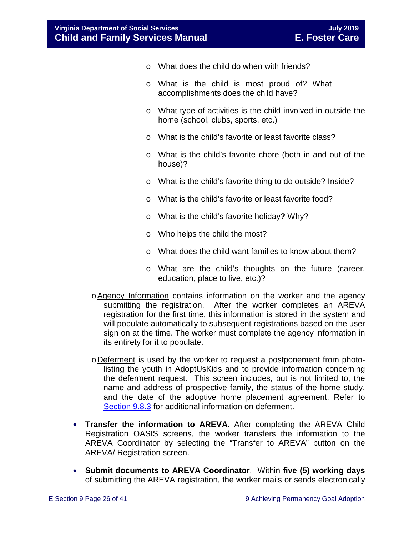- o What does the child do when with friends?
- o What is the child is most proud of? What accomplishments does the child have?
- o What type of activities is the child involved in outside the home (school, clubs, sports, etc.)
- o What is the child's favorite or least favorite class?
- o What is the child's favorite chore (both in and out of the house)?
- o What is the child's favorite thing to do outside? Inside?
- o What is the child's favorite or least favorite food?
- o What is the child's favorite holiday**?** Why?
- o Who helps the child the most?
- o What does the child want families to know about them?
- o What are the child's thoughts on the future (career, education, place to live, etc.)?
- oAgency Information contains information on the worker and the agency submitting the registration. After the worker completes an AREVA registration for the first time, this information is stored in the system and will populate automatically to subsequent registrations based on the user sign on at the time. The worker must complete the agency information in its entirety for it to populate.
- oDeferment is used by the worker to request a postponement from photolisting the youth in [AdoptUsKids](http://www.adoptuskids.org/) and to provide information concerning the deferment request. This screen includes, but is not limited to, the name and address of prospective family, the status of the home study, and the date of the adoptive home placement agreement. Refer to [Section 9.8.3](#page-27-0) for additional information on deferment.
- **Transfer the information to AREVA**. After completing the AREVA Child Registration OASIS screens, the worker transfers the information to the AREVA Coordinator by selecting the "Transfer to AREVA" button on the AREVA/ Registration screen.
- **Submit documents to AREVA Coordinator**. Within **five (5) working days** of submitting the AREVA registration, the worker mails or sends electronically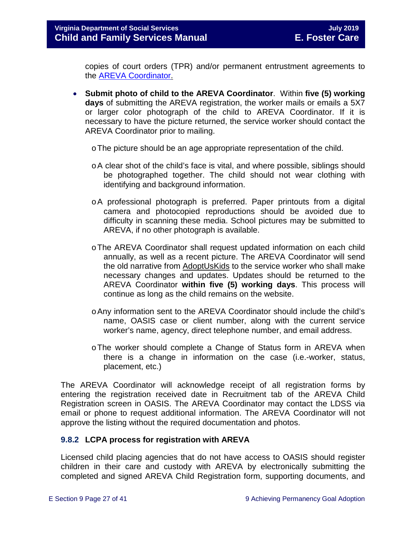copies of court orders (TPR) and/or permanent entrustment agreements to the [AREVA Coordinator.](https://fusion.dss.virginia.gov/dfs/DFS-Home/Adoption/AREVA)

- **Submit photo of child to the AREVA Coordinator**. Within **five (5) working days** of submitting the AREVA registration, the worker mails or emails a 5X7 or larger color photograph of the child to AREVA Coordinator. If it is necessary to have the picture returned, the service worker should contact the AREVA Coordinator prior to mailing.
	- oThe picture should be an age appropriate representation of the child.
	- oA clear shot of the child's face is vital, and where possible, siblings should be photographed together. The child should not wear clothing with identifying and background information.
	- oA professional photograph is preferred. Paper printouts from a digital camera and photocopied reproductions should be avoided due to difficulty in scanning these media. School pictures may be submitted to AREVA, if no other photograph is available.
	- oThe AREVA Coordinator shall request updated information on each child annually, as well as a recent picture. The AREVA Coordinator will send the old narrative from [AdoptUsKids](http://www.adoptuskids.org/) to the service worker who shall make necessary changes and updates. Updates should be returned to the AREVA Coordinator **within five (5) working days**. This process will continue as long as the child remains on the website.
	- oAny information sent to the AREVA Coordinator should include the child's name, OASIS case or client number, along with the current service worker's name, agency, direct telephone number, and email address.
	- oThe worker should complete a Change of Status form in AREVA when there is a change in information on the case (i.e.-worker, status, placement, etc.)

The AREVA Coordinator will acknowledge receipt of all registration forms by entering the registration received date in Recruitment tab of the AREVA Child Registration screen in OASIS. The AREVA Coordinator may contact the LDSS via email or phone to request additional information. The AREVA Coordinator will not approve the listing without the required documentation and photos.

#### <span id="page-26-0"></span>**9.8.2 LCPA process for registration with AREVA**

Licensed child placing agencies that do not have access to OASIS should register children in their care and custody with AREVA by electronically submitting the completed and signed AREVA Child Registration form, supporting documents, and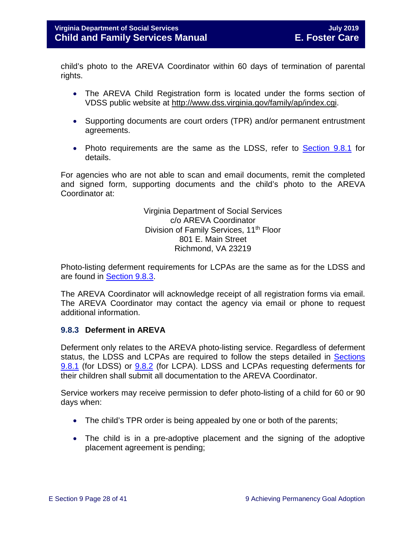child's photo to the AREVA Coordinator within 60 days of termination of parental rights.

- The AREVA Child Registration form is located under the forms section of VDSS public website at [http://www.dss.virginia.gov/family/ap/index.cgi.](http://www.dss.virginia.gov/family/ap/index.cgi)
- Supporting documents are court orders (TPR) and/or permanent entrustment agreements.
- Photo requirements are the same as the LDSS, refer to **Section 9.8.1** for details.

For agencies who are not able to scan and email documents, remit the completed and signed form, supporting documents and the child's photo to the AREVA Coordinator at:

> Virginia Department of Social Services c/o AREVA Coordinator Division of Family Services, 11<sup>th</sup> Floor 801 E. Main Street Richmond, VA 23219

Photo-listing deferment requirements for LCPAs are the same as for the LDSS and are found in [Section 9.8.3.](#page-27-0)

The AREVA Coordinator will acknowledge receipt of all registration forms via email. The AREVA Coordinator may contact the agency via email or phone to request additional information.

#### <span id="page-27-0"></span>**9.8.3 Deferment in AREVA**

Deferment only relates to the AREVA photo-listing service. Regardless of deferment status, the LDSS and LCPAs are required to follow the steps detailed in [Sections](#page-24-0) [9.8.1](#page-24-0) (for LDSS) or [9.8.2](#page-26-0) (for LCPA). LDSS and LCPAs requesting deferments for their children shall submit all documentation to the AREVA Coordinator.

Service workers may receive permission to defer photo-listing of a child for 60 or 90 days when:

- The child's TPR order is being appealed by one or both of the parents;
- The child is in a pre-adoptive placement and the signing of the adoptive placement agreement is pending;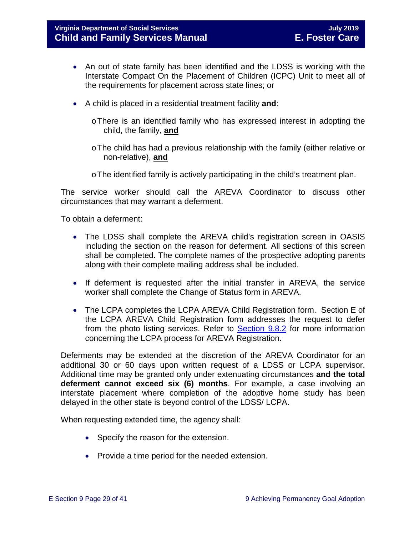- An out of state family has been identified and the LDSS is working with the Interstate Compact On the Placement of Children (ICPC) Unit to meet all of the requirements for placement across state lines; or
- A child is placed in a residential treatment facility **and**:
	- oThere is an identified family who has expressed interest in adopting the child, the family, **and**
	- $\circ$  The child has had a previous relationship with the family (either relative or non-relative), **and**
	- $\circ$  The identified family is actively participating in the child's treatment plan.

The service worker should call the AREVA Coordinator to discuss other circumstances that may warrant a deferment.

To obtain a deferment:

- The LDSS shall complete the AREVA child's registration screen in OASIS including the section on the reason for deferment. All sections of this screen shall be completed. The complete names of the prospective adopting parents along with their complete mailing address shall be included.
- If deferment is requested after the initial transfer in AREVA, the service worker shall complete the Change of Status form in AREVA.
- The LCPA completes the LCPA AREVA Child Registration form. Section E of the LCPA AREVA Child Registration form addresses the request to defer from the photo listing services. Refer to [Section 9.8.2](#page-26-0) for more information concerning the LCPA process for AREVA Registration.

Deferments may be extended at the discretion of the AREVA Coordinator for an additional 30 or 60 days upon written request of a LDSS or LCPA supervisor. Additional time may be granted only under extenuating circumstances **and the total deferment cannot exceed six (6) months**. For example, a case involving an interstate placement where completion of the adoptive home study has been delayed in the other state is beyond control of the LDSS/ LCPA.

When requesting extended time, the agency shall:

- Specify the reason for the extension.
- Provide a time period for the needed extension.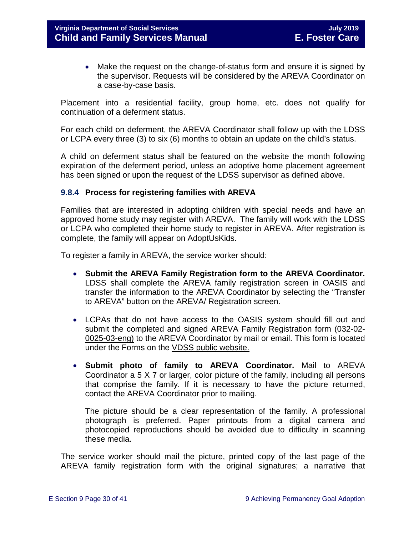• Make the request on the change-of-status form and ensure it is signed by the supervisor. Requests will be considered by the AREVA Coordinator on a case-by-case basis.

Placement into a residential facility, group home, etc. does not qualify for continuation of a deferment status.

For each child on deferment, the AREVA Coordinator shall follow up with the LDSS or LCPA every three (3) to six (6) months to obtain an update on the child's status.

A child on deferment status shall be featured on the website the month following expiration of the deferment period, unless an adoptive home placement agreement has been signed or upon the request of the LDSS supervisor as defined above.

#### <span id="page-29-0"></span>**9.8.4 Process for registering families with AREVA**

Families that are interested in adopting children with special needs and have an approved home study may register with AREVA. The family will work with the LDSS or LCPA who completed their home study to register in AREVA. After registration is complete, the family will appear on [AdoptUsKids.](http://www.adoptuskids.org/)

To register a family in AREVA, the service worker should:

- **Submit the AREVA Family Registration form to the AREVA Coordinator.**  LDSS shall complete the AREVA family registration screen in OASIS and transfer the information to the AREVA Coordinator by selecting the "Transfer to AREVA" button on the AREVA/ Registration screen.
- LCPAs that do not have access to the OASIS system should fill out and submit the completed and signed AREVA Family Registration form [\(032-02-](http://www.dss.virginia.gov/files/division/dfs/ap/intro_page/forms/032-02-0025-03-eng.pdf) [0025-03-eng\)](http://www.dss.virginia.gov/files/division/dfs/ap/intro_page/forms/032-02-0025-03-eng.pdf) to the AREVA Coordinator by mail or email. This form is located under the Forms on the [VDSS public website.](http://www.dss.virginia.gov/family/ap/index.cgi)
- **Submit photo of family to AREVA Coordinator.** Mail to AREVA Coordinator a 5 X 7 or larger, color picture of the family, including all persons that comprise the family. If it is necessary to have the picture returned, contact the AREVA Coordinator prior to mailing.

The picture should be a clear representation of the family. A professional photograph is preferred. Paper printouts from a digital camera and photocopied reproductions should be avoided due to difficulty in scanning these media.

The service worker should mail the picture, printed copy of the last page of the AREVA family registration form with the original signatures; a narrative that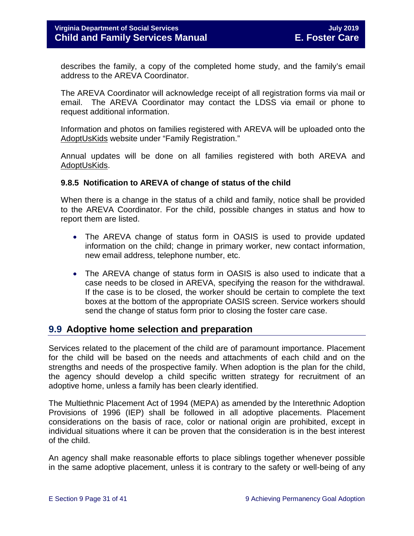describes the family, a copy of the completed home study, and the family's email address to the AREVA Coordinator.

The AREVA Coordinator will acknowledge receipt of all registration forms via mail or email. The AREVA Coordinator may contact the LDSS via email or phone to request additional information.

Information and photos on families registered with AREVA will be uploaded onto the [AdoptUsKids](http://www.adoptuskids.org/) website under "Family Registration."

Annual updates will be done on all families registered with both AREVA and [AdoptUsKids.](http://www.adoptuskids.org/)

#### <span id="page-30-0"></span>**9.8.5 Notification to AREVA of change of status of the child**

When there is a change in the status of a child and family, notice shall be provided to the AREVA Coordinator. For the child, possible changes in status and how to report them are listed.

- The AREVA change of status form in OASIS is used to provide updated information on the child; change in primary worker, new contact information, new email address, telephone number, etc.
- The AREVA change of status form in OASIS is also used to indicate that a case needs to be closed in AREVA, specifying the reason for the withdrawal. If the case is to be closed, the worker should be certain to complete the text boxes at the bottom of the appropriate OASIS screen. Service workers should send the change of status form prior to closing the foster care case.

## <span id="page-30-1"></span>**9.9 Adoptive home selection and preparation**

Services related to the placement of the child are of paramount importance. Placement for the child will be based on the needs and attachments of each child and on the strengths and needs of the prospective family. When adoption is the plan for the child, the agency should develop a child specific written strategy for recruitment of an adoptive home, unless a family has been clearly identified.

The Multiethnic Placement Act of 1994 (MEPA) as amended by the Interethnic Adoption Provisions of 1996 (IEP) shall be followed in all adoptive placements. Placement considerations on the basis of race, color or national origin are prohibited, except in individual situations where it can be proven that the consideration is in the best interest of the child.

An agency shall make reasonable efforts to place siblings together whenever possible in the same adoptive placement, unless it is contrary to the safety or well-being of any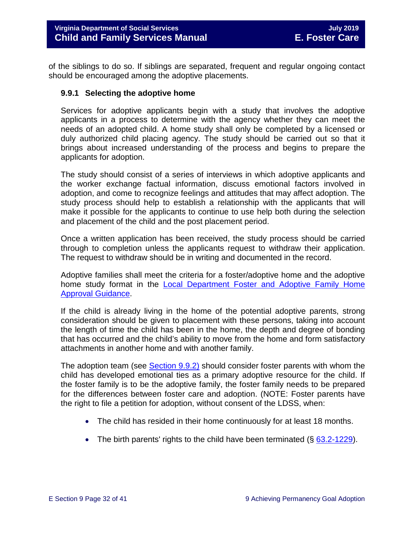of the siblings to do so. If siblings are separated, frequent and regular ongoing contact should be encouraged among the adoptive placements.

#### <span id="page-31-0"></span>**9.9.1 Selecting the adoptive home**

Services for adoptive applicants begin with a study that involves the adoptive applicants in a process to determine with the agency whether they can meet the needs of an adopted child. A home study shall only be completed by a licensed or duly authorized child placing agency. The study should be carried out so that it brings about increased understanding of the process and begins to prepare the applicants for adoption.

The study should consist of a series of interviews in which adoptive applicants and the worker exchange factual information, discuss emotional factors involved in adoption, and come to recognize feelings and attitudes that may affect adoption. The study process should help to establish a relationship with the applicants that will make it possible for the applicants to continue to use help both during the selection and placement of the child and the post placement period.

Once a written application has been received, the study process should be carried through to completion unless the applicants request to withdraw their application. The request to withdraw should be in writing and documented in the record.

Adoptive families shall meet the criteria for a foster/adoptive home and the adoptive home study format in the Local Department [Foster and Adoptive Family Home](https://fusion.dss.virginia.gov/dfs/DFS-Home/Family-Recruitment/Family-Recruitment-Guidance)  [Approval Guidance.](https://fusion.dss.virginia.gov/dfs/DFS-Home/Family-Recruitment/Family-Recruitment-Guidance)

If the child is already living in the home of the potential adoptive parents, strong consideration should be given to placement with these persons, taking into account the length of time the child has been in the home, the depth and degree of bonding that has occurred and the child's ability to move from the home and form satisfactory attachments in another home and with another family.

The adoption team (see [Section 9.9.2\)](#page-32-0) should consider foster parents with whom the child has developed emotional ties as a primary adoptive resource for the child. If the foster family is to be the adoptive family, the foster family needs to be prepared for the differences between foster care and adoption. (NOTE: Foster parents have the right to file a petition for adoption, without consent of the LDSS, when:

- The child has resided in their home continuously for at least 18 months.
- The birth parents' rights to the child have been terminated  $(\xi \, 63.2\n-1229)$ .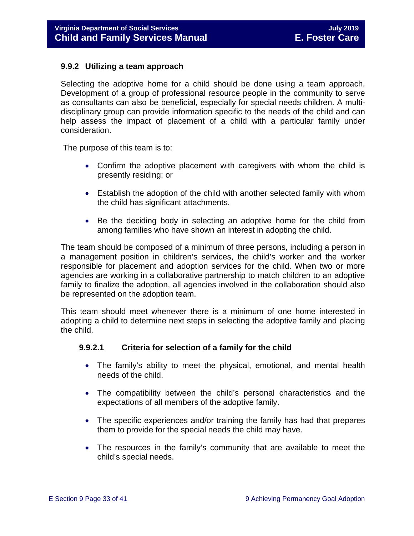#### <span id="page-32-0"></span>**9.9.2 Utilizing a team approach**

Selecting the adoptive home for a child should be done using a team approach. Development of a group of professional resource people in the community to serve as consultants can also be beneficial, especially for special needs children. A multidisciplinary group can provide information specific to the needs of the child and can help assess the impact of placement of a child with a particular family under consideration.

The purpose of this team is to:

- Confirm the adoptive placement with caregivers with whom the child is presently residing; or
- Establish the adoption of the child with another selected family with whom the child has significant attachments.
- Be the deciding body in selecting an adoptive home for the child from among families who have shown an interest in adopting the child.

The team should be composed of a minimum of three persons, including a person in a management position in children's services, the child's worker and the worker responsible for placement and adoption services for the child. When two or more agencies are working in a collaborative partnership to match children to an adoptive family to finalize the adoption, all agencies involved in the collaboration should also be represented on the adoption team.

This team should meet whenever there is a minimum of one home interested in adopting a child to determine next steps in selecting the adoptive family and placing the child.

#### **9.9.2.1 Criteria for selection of a family for the child**

- The family's ability to meet the physical, emotional, and mental health needs of the child.
- The compatibility between the child's personal characteristics and the expectations of all members of the adoptive family.
- The specific experiences and/or training the family has had that prepares them to provide for the special needs the child may have.
- The resources in the family's community that are available to meet the child's special needs.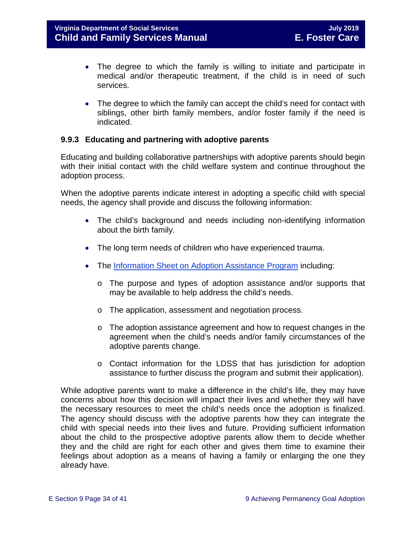- The degree to which the family is willing to initiate and participate in medical and/or therapeutic treatment, if the child is in need of such services.
- The degree to which the family can accept the child's need for contact with siblings, other birth family members, and/or foster family if the need is indicated.

#### <span id="page-33-0"></span>**9.9.3 Educating and partnering with adoptive parents**

Educating and building collaborative partnerships with adoptive parents should begin with their initial contact with the child welfare system and continue throughout the adoption process.

When the adoptive parents indicate interest in adopting a specific child with special needs, the agency shall provide and discuss the following information:

- The child's background and needs including non-identifying information about the birth family.
- The long term needs of children who have experienced trauma.
- The [Information Sheet on Adoption Assistance Program](https://www.dss.virginia.gov/files/division/dfs/ap/intro_page/forms/032-04-0095-01-eng.pdf) including:
	- o The purpose and types of adoption assistance and/or supports that may be available to help address the child's needs.
	- o The application, assessment and negotiation process.
	- o The adoption assistance agreement and how to request changes in the agreement when the child's needs and/or family circumstances of the adoptive parents change.
	- o Contact information for the LDSS that has jurisdiction for adoption assistance to further discuss the program and submit their application).

While adoptive parents want to make a difference in the child's life, they may have concerns about how this decision will impact their lives and whether they will have the necessary resources to meet the child's needs once the adoption is finalized. The agency should discuss with the adoptive parents how they can integrate the child with special needs into their lives and future. Providing sufficient information about the child to the prospective adoptive parents allow them to decide whether they and the child are right for each other and gives them time to examine their feelings about adoption as a means of having a family or enlarging the one they already have.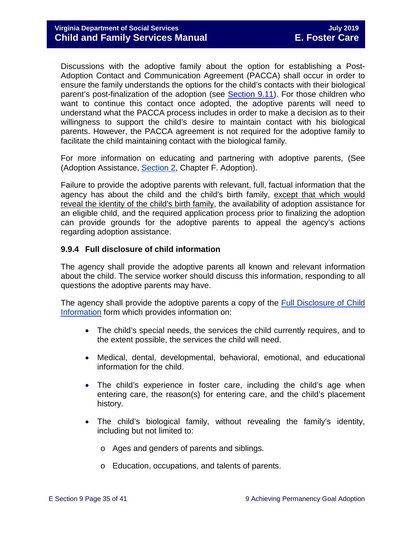Discussions with the adoptive family about the option for establishing a Post-Adoption Contact and Communication Agreement (PACCA) shall occur in order to ensure the family understands the options for the child's contacts with their biological parent's post-finalization of the adoption (see [Section 9.11\)](#page-38-1). For those children who want to continue this contact once adopted, the adoptive parents will need to understand what the PACCA process includes in order to make a decision as to their willingness to support the child's desire to maintain contact with his biological parents. However, the PACCA agreement is not required for the adoptive family to facilitate the child maintaining contact with the biological family.

For more information on educating and partnering with adoptive parents, (See (Adoption Assistance, [Section 2,](https://fusion.dss.virginia.gov/Portals/%5Bdfs%5D/Files/Adoption/Guidance/2019/July/section_2_adoption%20assistance%20-July%202019.pdf) Chapter F. Adoption).

Failure to provide the adoptive parents with relevant, full, factual information that the agency has about the child and the child's birth family, except that which would reveal the identity of the child's birth family, the availability of adoption assistance for an eligible child, and the required application process prior to finalizing the adoption can provide grounds for the adoptive parents to appeal the agency's actions regarding adoption assistance.

### <span id="page-34-0"></span>**9.9.4 Full disclosure of child information**

The agency shall provide the adoptive parents all known and relevant information about the child. The service worker should discuss this information, responding to all questions the adoptive parents may have.

The agency shall provide the adoptive parents a copy of the [Full Disclosure of Child](https://fusion.dss.virginia.gov/Portals/%5Bdfs%5D/Files/Adoption/Full%20Disclosure%20Form.docx)  [Information](https://fusion.dss.virginia.gov/Portals/%5Bdfs%5D/Files/Adoption/Full%20Disclosure%20Form.docx) form which provides information on:

- The child's special needs, the services the child currently requires, and to the extent possible, the services the child will need.
- Medical, dental, developmental, behavioral, emotional, and educational information for the child.
- The child's experience in foster care, including the child's age when entering care, the reason(s) for entering care, and the child's placement history.
- The child's biological family, without revealing the family's identity, including but not limited to:
	- o Ages and genders of parents and siblings.
	- o Education, occupations, and talents of parents.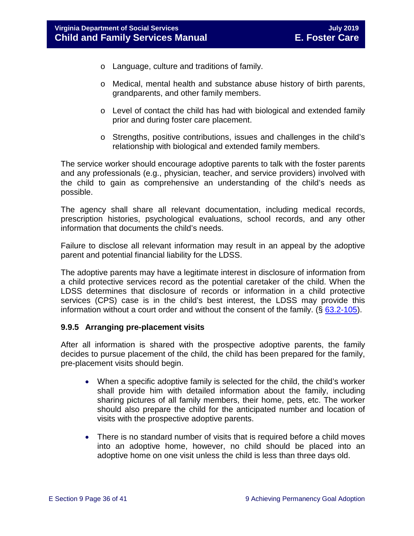- o Language, culture and traditions of family.
- o Medical, mental health and substance abuse history of birth parents, grandparents, and other family members.
- $\circ$  Level of contact the child has had with biological and extended family prior and during foster care placement.
- o Strengths, positive contributions, issues and challenges in the child's relationship with biological and extended family members.

The service worker should encourage adoptive parents to talk with the foster parents and any professionals (e.g., physician, teacher, and service providers) involved with the child to gain as comprehensive an understanding of the child's needs as possible.

The agency shall share all relevant documentation, including medical records, prescription histories, psychological evaluations, school records, and any other information that documents the child's needs.

Failure to disclose all relevant information may result in an appeal by the adoptive parent and potential financial liability for the LDSS.

The adoptive parents may have a legitimate interest in disclosure of information from a child protective services record as the potential caretaker of the child. When the LDSS determines that disclosure of records or information in a child protective services (CPS) case is in the child's best interest, the LDSS may provide this information without a court order and without the consent of the family.  $(\S$  [63.2-105\)](http://law.lis.virginia.gov/vacode/63.2-105/).

#### <span id="page-35-0"></span>**9.9.5 Arranging pre-placement visits**

After all information is shared with the prospective adoptive parents, the family decides to pursue placement of the child, the child has been prepared for the family, pre-placement visits should begin.

- When a specific adoptive family is selected for the child, the child's worker shall provide him with detailed information about the family, including sharing pictures of all family members, their home, pets, etc. The worker should also prepare the child for the anticipated number and location of visits with the prospective adoptive parents.
- There is no standard number of visits that is required before a child moves into an adoptive home, however, no child should be placed into an adoptive home on one visit unless the child is less than three days old.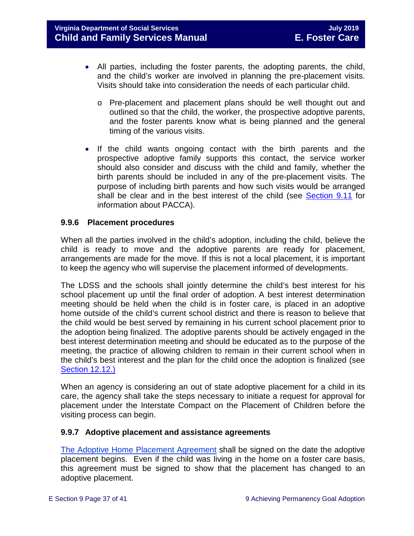- All parties, including the foster parents, the adopting parents, the child, and the child's worker are involved in planning the pre-placement visits. Visits should take into consideration the needs of each particular child.
	- o Pre-placement and placement plans should be well thought out and outlined so that the child, the worker, the prospective adoptive parents, and the foster parents know what is being planned and the general timing of the various visits.
- If the child wants ongoing contact with the birth parents and the prospective adoptive family supports this contact, the service worker should also consider and discuss with the child and family, whether the birth parents should be included in any of the pre-placement visits. The purpose of including birth parents and how such visits would be arranged shall be clear and in the best interest of the child (see [Section 9.11](#page-38-1) for information about PACCA).

#### <span id="page-36-0"></span>**9.9.6 Placement procedures**

When all the parties involved in the child's adoption, including the child, believe the child is ready to move and the adoptive parents are ready for placement, arrangements are made for the move. If this is not a local placement, it is important to keep the agency who will supervise the placement informed of developments.

The LDSS and the schools shall jointly determine the child's best interest for his school placement up until the final order of adoption. A best interest determination meeting should be held when the child is in foster care, is placed in an adoptive home outside of the child's current school district and there is reason to believe that the child would be best served by remaining in his current school placement prior to the adoption being finalized. The adoptive parents should be actively engaged in the best interest determination meeting and should be educated as to the purpose of the meeting, the practice of allowing children to remain in their current school when in the child's best interest and the plan for the child once the adoption is finalized (see [Section 12.12.\)](https://fusion.dss.virginia.gov/Portals/%5bdfs%5d/Files/DFS%20Manuals/Foster%20Care%20Manuals/Foster%20Care%20Manual%2007-2019/section_12_identifying_services_to_be_provided.pdf#page=50)

When an agency is considering an out of state adoptive placement for a child in its care, the agency shall take the steps necessary to initiate a request for approval for placement under the Interstate Compact on the Placement of Children before the visiting process can begin.

#### <span id="page-36-1"></span>**9.9.7 Adoptive placement and assistance agreements**

[The Adoptive Home Placement Agreement](https://fusion.dss.virginia.gov/Portals/%5Bdfs%5D/Files/Adoption/Placement%20Agreement%20Adoptive%20Home.pdf) shall be signed on the date the adoptive placement begins. Even if the child was living in the home on a foster care basis, this agreement must be signed to show that the placement has changed to an adoptive placement.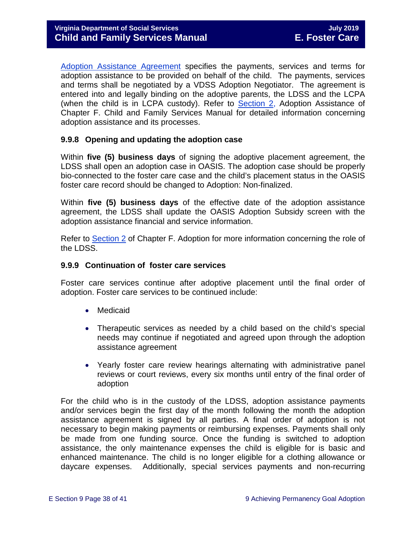[Adoption Assistance Agreement](https://fusion.dss.virginia.gov/Portals/%5Bdfs%5D/Files/Adoption/Adoption%20Assistance/Adoption%20Assistance%20Agreement.pdf) specifies the payments, services and terms for adoption assistance to be provided on behalf of the child. The payments, services and terms shall be negotiated by a VDSS Adoption Negotiator. The agreement is entered into and legally binding on the adoptive parents, the LDSS and the LCPA (when the child is in LCPA custody). Refer to **Section 2**, Adoption Assistance of Chapter F. Child and Family Services Manual for detailed information concerning adoption assistance and its processes.

#### <span id="page-37-0"></span>**9.9.8 Opening and updating the adoption case**

Within **five (5) business days** of signing the adoptive placement agreement, the LDSS shall open an adoption case in OASIS. The adoption case should be properly bio-connected to the foster care case and the child's placement status in the OASIS foster care record should be changed to Adoption: Non-finalized.

Within **five (5) business days** of the effective date of the adoption assistance agreement, the LDSS shall update the OASIS Adoption Subsidy screen with the adoption assistance financial and service information.

Refer to [Section 2](https://fusion.dss.virginia.gov/Portals/%5Bdfs%5D/Files/Adoption/Guidance/2019/July/section_2_adoption%20assistance%20-July%202019.pdf) of Chapter F. Adoption for more information concerning the role of the LDSS.

#### <span id="page-37-1"></span>**9.9.9 Continuation of foster care services**

Foster care services continue after adoptive placement until the final order of adoption. Foster care services to be continued include:

- Medicaid
- Therapeutic services as needed by a child based on the child's special needs may continue if negotiated and agreed upon through the adoption assistance agreement
- Yearly foster care review hearings alternating with administrative panel reviews or court reviews, every six months until entry of the final order of adoption

For the child who is in the custody of the LDSS, adoption assistance payments and/or services begin the first day of the month following the month the adoption assistance agreement is signed by all parties. A final order of adoption is not necessary to begin making payments or reimbursing expenses. Payments shall only be made from one funding source. Once the funding is switched to adoption assistance, the only maintenance expenses the child is eligible for is basic and enhanced maintenance. The child is no longer eligible for a clothing allowance or daycare expenses. Additionally, special services payments and non-recurring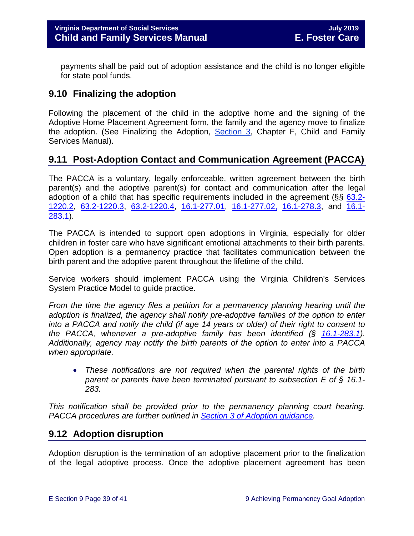payments shall be paid out of adoption assistance and the child is no longer eligible for state pool funds.

# <span id="page-38-0"></span>**9.10 Finalizing the adoption**

Following the placement of the child in the adoptive home and the signing of the Adoptive Home Placement Agreement form, the family and the agency move to finalize the adoption. (See Finalizing the Adoption, [Section 3,](https://fusion.dss.virginia.gov/Portals/%5Bdfs%5D/Files/Adoption/Guidance/2019/July/section_3_finalizing%20the%20adoption-July%202019.pdf) Chapter F, Child and Family Services Manual).

# <span id="page-38-1"></span>**9.11 Post-Adoption Contact and Communication Agreement (PACCA)**

The PACCA is a voluntary, legally enforceable, written agreement between the birth parent(s) and the adoptive parent(s) for contact and communication after the legal adoption of a child that has specific requirements included in the agreement ( $\S$ §  $63.2$ -[1220.2,](http://law.lis.virginia.gov/vacode/63.2-1220.2/) [63.2-1220.3,](http://law.lis.virginia.gov/vacode/title63.2/chapter12/section63.2-1220.3/) [63.2-1220.4,](http://law.lis.virginia.gov/vacode/title63.2/chapter12/section63.2-1220.4/) [16.1-277.01,](http://law.lis.virginia.gov/vacode/16.1-277.01/) [16.1-277.02,](http://law.lis.virginia.gov/vacode/title16.1/chapter11/section16.1-277.02/) [16.1-278.3,](http://law.lis.virginia.gov/vacode/16.1-278.3/) and [16.1-](http://law.lis.virginia.gov/vacode/16.1-283.1/) [283.1\)](http://law.lis.virginia.gov/vacode/16.1-283.1/).

The PACCA is intended to support open adoptions in Virginia, especially for older children in foster care who have significant emotional attachments to their birth parents. Open adoption is a permanency practice that facilitates communication between the birth parent and the adoptive parent throughout the lifetime of the child.

Service workers should implement PACCA using the Virginia Children's Services System Practice Model to guide practice.

*From the time the agency files a petition for a permanency planning hearing until the adoption is finalized, the agency shall notify pre-adoptive families of the option to enter into a PACCA and notify the child (if age 14 years or older) of their right to consent to the PACCA, whenever a pre-adoptive family has been identified (§ [16.1-283.1\)](https://law.lis.virginia.gov/vacode/16.1-283.1). Additionally, agency may notify the birth parents of the option to enter into a PACCA when appropriate.* 

• *These notifications are not required when the parental rights of the birth parent or parents have been terminated pursuant to subsection E of § 16.1- 283.*

*This notification shall be provided prior to the permanency planning court hearing. PACCA procedures are further outlined in [Section 3 of Adoption guidance.](https://fusion.dss.virginia.gov/Portals/%5Bdfs%5D/Files/Adoption/Guidance/2019/July/section_3_finalizing%20the%20adoption-July%202019.pdf#page=13)* 

# <span id="page-38-2"></span>**9.12 Adoption disruption**

Adoption disruption is the termination of an adoptive placement prior to the finalization of the legal adoptive process. Once the adoptive placement agreement has been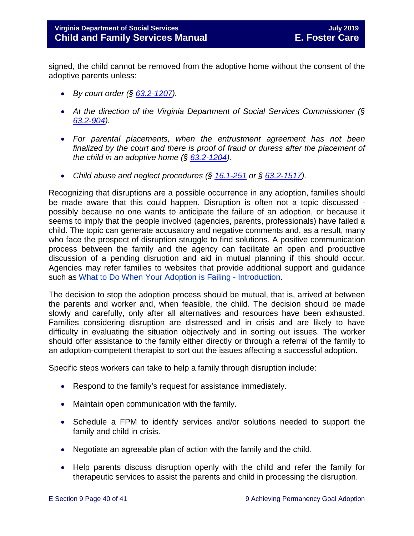signed, the child cannot be removed from the adoptive home without the consent of the adoptive parents unless:

- *By court order (§ [63.2-1207\)](https://law.lis.virginia.gov/vacode/63.2-1207).*
- *At the direction of the Virginia Department of Social Services Commissioner (§ [63.2-904\)](https://law.lis.virginia.gov/vacode/63.2-904).*
- *For parental placements, when the entrustment agreement has not been finalized by the court and there is proof of fraud or duress after the placement of the child in an adoptive home (§ [63.2-1204\)](https://law.lis.virginia.gov/vacode/63.2-1204).*
- *Child abuse and neglect procedures (§ [16.1-251](https://law.lis.virginia.gov/vacode/16.1-251) or § [63.2-1517\)](https://law.lis.virginia.gov/vacode/63.2-1517).*

Recognizing that disruptions are a possible occurrence in any adoption, families should be made aware that this could happen. Disruption is often not a topic discussed possibly because no one wants to anticipate the failure of an adoption, or because it seems to imply that the people involved (agencies, parents, professionals) have failed a child. The topic can generate accusatory and negative comments and, as a result, many who face the prospect of disruption struggle to find solutions. A positive communication process between the family and the agency can facilitate an open and productive discussion of a pending disruption and aid in mutual planning if this should occur. Agencies may refer families to websites that provide additional support and guidance such as What to [Do When Your Adoption is Failing -](http://library.adoption.com/articles/what-to-do-when-your-adoption-is-failing-a-parents-guide-to-adoption-disruption-dissolution.html) Introduction.

The decision to stop the adoption process should be mutual, that is, arrived at between the parents and worker and, when feasible, the child. The decision should be made slowly and carefully, only after all alternatives and resources have been exhausted. Families considering disruption are distressed and in crisis and are likely to have difficulty in evaluating the situation objectively and in sorting out issues. The worker should offer assistance to the family either directly or through a referral of the family to an adoption-competent therapist to sort out the issues affecting a successful adoption.

Specific steps workers can take to help a family through disruption include:

- Respond to the family's request for assistance immediately.
- Maintain open communication with the family.
- Schedule a FPM to identify services and/or solutions needed to support the family and child in crisis.
- Negotiate an agreeable plan of action with the family and the child.
- Help parents discuss disruption openly with the child and refer the family for therapeutic services to assist the parents and child in processing the disruption.